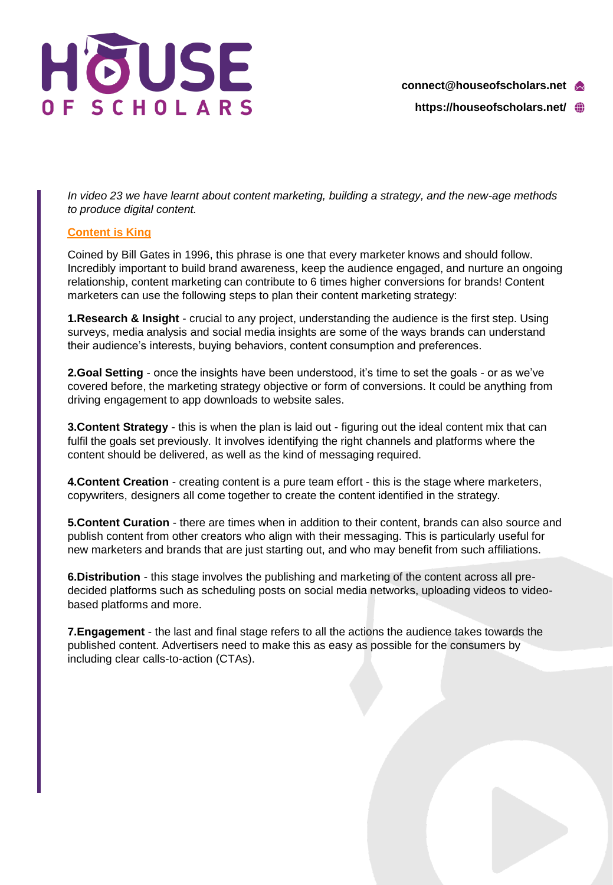

**https://houseofscholars.net/**

*In video 23 we have learnt about content marketing, building a strategy, and the new-age methods to produce digital content.*

## **[Content is King](https://medium.com/@HeathEvans/content-is-king-essay-by-bill-gates-1996-df74552f80d9)**

Coined by Bill Gates in 1996, this phrase is one that every marketer knows and should follow. Incredibly important to build brand awareness, keep the audience engaged, and nurture an ongoing relationship, content marketing can contribute to 6 times higher conversions for brands! Content marketers can use the following steps to plan their content marketing strategy:

**1.Research & Insight** - crucial to any project, understanding the audience is the first step. Using surveys, media analysis and social media insights are some of the ways brands can understand their audience's interests, buying behaviors, content consumption and preferences.

**2.Goal Setting** - once the insights have been understood, it's time to set the goals - or as we've covered before, the marketing strategy objective or form of conversions. It could be anything from driving engagement to app downloads to website sales.

**3.Content Strategy** - this is when the plan is laid out - figuring out the ideal content mix that can fulfil the goals set previously. It involves identifying the right channels and platforms where the content should be delivered, as well as the kind of messaging required.

**4.Content Creation** - creating content is a pure team effort - this is the stage where marketers, copywriters, designers all come together to create the content identified in the strategy.

**5.Content Curation** - there are times when in addition to their content, brands can also source and publish content from other creators who align with their messaging. This is particularly useful for new marketers and brands that are just starting out, and who may benefit from such affiliations.

**6.Distribution** - this stage involves the publishing and marketing of the content across all predecided platforms such as scheduling posts on social media networks, uploading videos to videobased platforms and more.

**7.Engagement** - the last and final stage refers to all the actions the audience takes towards the published content. Advertisers need to make this as easy as possible for the consumers by including clear calls-to-action (CTAs).